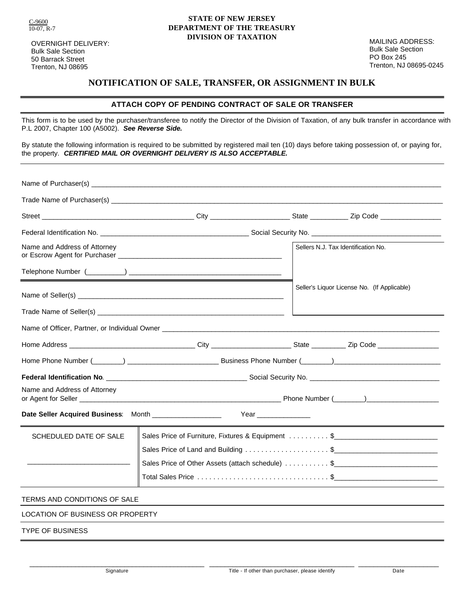C-9600  $10-07$ , R-7

OVERNIGHT DELIVERY: Bulk Sale Section 50 Barrack Street Trenton, NJ 08695

#### **STATE OF NEW JERSEY DEPARTMENT OF THE TREASURY DIVISION OF TAXATION**

MAILING ADDRESS: Bulk Sale Section PO Box 245 Trenton, NJ 08695-0245

### **NOTIFICATION OF SALE, TRANSFER, OR ASSIGNMENT IN BULK**

#### **ATTACH COPY OF PENDING CONTRACT OF SALE OR TRANSFER**

This form is to be used by the purchaser/transferee to notify the Director of the Division of Taxation, of any bulk transfer in accordance with P.L 2007, Chapter 100 (A5002). *See Reverse Side.*

By statute the following information is required to be submitted by registered mail ten (10) days before taking possession of, or paying for, the property. *CERTIFIED MAIL OR OVERNIGHT DELIVERY IS ALSO ACCEPTABLE.*

| Name and Address of Attorney                                                    |                                                                                                                 |  | Sellers N.J. Tax Identification No.         |
|---------------------------------------------------------------------------------|-----------------------------------------------------------------------------------------------------------------|--|---------------------------------------------|
|                                                                                 | <u> 1989 - Johann Barn, amerikansk politiker (d. 1989)</u>                                                      |  |                                             |
|                                                                                 |                                                                                                                 |  | Seller's Liquor License No. (If Applicable) |
|                                                                                 |                                                                                                                 |  |                                             |
|                                                                                 |                                                                                                                 |  |                                             |
|                                                                                 |                                                                                                                 |  |                                             |
|                                                                                 | Home Phone Number (Change Communication Communication Communication Communication Communication Communication C |  |                                             |
|                                                                                 |                                                                                                                 |  |                                             |
| Name and Address of Attorney                                                    |                                                                                                                 |  |                                             |
| Date Seller Acquired Business: Month __________________<br>Year _______________ |                                                                                                                 |  |                                             |
| SCHEDULED DATE OF SALE                                                          | Sales Price of Furniture, Fixtures & Equipment \$                                                               |  |                                             |
|                                                                                 |                                                                                                                 |  |                                             |
|                                                                                 | Sales Price of Other Assets (attach schedule) \$ _______________________                                        |  |                                             |
|                                                                                 |                                                                                                                 |  |                                             |
| TERMS AND CONDITIONS OF SALE                                                    |                                                                                                                 |  |                                             |
| LOCATION OF BUSINESS OR PROPERTY                                                |                                                                                                                 |  |                                             |
| TYPE OF BUSINESS                                                                |                                                                                                                 |  |                                             |

\_\_\_\_\_\_\_\_\_\_\_\_\_\_\_\_\_\_\_\_\_\_\_\_\_\_\_\_\_\_\_\_\_\_\_\_\_\_\_\_\_\_\_\_\_\_ \_\_\_\_\_\_\_\_\_\_\_\_\_\_\_\_\_\_\_\_\_\_\_\_\_\_\_\_\_\_\_\_\_\_\_\_\_\_ \_\_\_\_\_\_\_\_\_\_\_\_\_\_\_\_\_\_\_\_\_